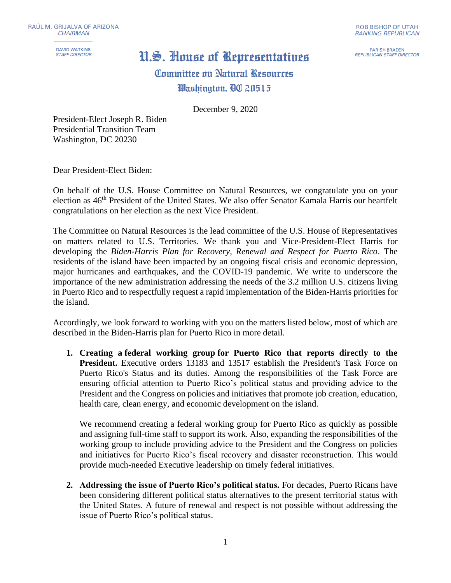**DAVID WATKINS STAFF DIRECTOR** 

## H.S. House of Representatives

**PARISH BRADEN REPUBLICAN STAFF DIRECTOR** 

Committee on Natural Resources Washinaton, DC 20515

December 9, 2020

President-Elect Joseph R. Biden Presidential Transition Team Washington, DC 20230

Dear President-Elect Biden:

On behalf of the U.S. House Committee on Natural Resources, we congratulate you on your election as 46th President of the United States. We also offer Senator Kamala Harris our heartfelt congratulations on her election as the next Vice President.

The Committee on Natural Resources is the lead committee of the U.S. House of Representatives on matters related to U.S. Territories. We thank you and Vice-President-Elect Harris for developing the *Biden-Harris Plan for Recovery, Renewal and Respect for Puerto Rico*. The residents of the island have been impacted by an ongoing fiscal crisis and economic depression, major hurricanes and earthquakes, and the COVID-19 pandemic. We write to underscore the importance of the new administration addressing the needs of the 3.2 million U.S. citizens living in Puerto Rico and to respectfully request a rapid implementation of the Biden-Harris priorities for the island.

Accordingly, we look forward to working with you on the matters listed below, most of which are described in the Biden-Harris plan for Puerto Rico in more detail.

**1. Creating a federal working group for Puerto Rico that reports directly to the President.** Executive orders 13183 and 13517 establish the President's Task Force on Puerto Rico's Status and its duties. Among the responsibilities of the Task Force are ensuring official attention to Puerto Rico's political status and providing advice to the President and the Congress on policies and initiatives that promote job creation, education, health care, clean energy, and economic development on the island.

We recommend creating a federal working group for Puerto Rico as quickly as possible and assigning full-time staff to support its work. Also, expanding the responsibilities of the working group to include providing advice to the President and the Congress on policies and initiatives for Puerto Rico's fiscal recovery and disaster reconstruction. This would provide much-needed Executive leadership on timely federal initiatives.

**2. Addressing the issue of Puerto Rico's political status.** For decades, Puerto Ricans have been considering different political status alternatives to the present territorial status with the United States. A future of renewal and respect is not possible without addressing the issue of Puerto Rico's political status.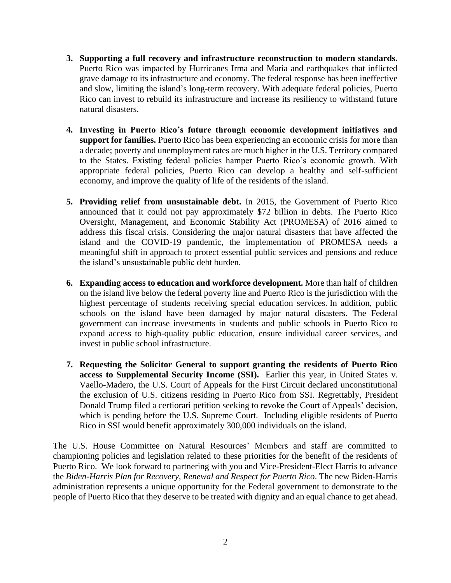- **3. Supporting a full recovery and infrastructure reconstruction to modern standards.** Puerto Rico was impacted by Hurricanes Irma and Maria and earthquakes that inflicted grave damage to its infrastructure and economy. The federal response has been ineffective and slow, limiting the island's long-term recovery. With adequate federal policies, Puerto Rico can invest to rebuild its infrastructure and increase its resiliency to withstand future natural disasters.
- **4. Investing in Puerto Rico's future through economic development initiatives and support for families.** Puerto Rico has been experiencing an economic crisis for more than a decade; poverty and unemployment rates are much higher in the U.S. Territory compared to the States. Existing federal policies hamper Puerto Rico's economic growth. With appropriate federal policies, Puerto Rico can develop a healthy and self-sufficient economy, and improve the quality of life of the residents of the island.
- **5. Providing relief from unsustainable debt.** In 2015, the Government of Puerto Rico announced that it could not pay approximately \$72 billion in debts. The Puerto Rico Oversight, Management, and Economic Stability Act (PROMESA) of 2016 aimed to address this fiscal crisis. Considering the major natural disasters that have affected the island and the COVID-19 pandemic, the implementation of PROMESA needs a meaningful shift in approach to protect essential public services and pensions and reduce the island's unsustainable public debt burden.
- **6. Expanding access to education and workforce development.** More than half of children on the island live below the federal poverty line and Puerto Rico is the jurisdiction with the highest percentage of students receiving special education services. In addition, public schools on the island have been damaged by major natural disasters. The Federal government can increase investments in students and public schools in Puerto Rico to expand access to high-quality public education, ensure individual career services, and invest in public school infrastructure.
- **7. Requesting the Solicitor General to support granting the residents of Puerto Rico access to Supplemental Security Income (SSI).** Earlier this year, in United States v. Vaello-Madero, the U.S. Court of Appeals for the First Circuit declared unconstitutional the exclusion of U.S. citizens residing in Puerto Rico from SSI. Regrettably, President Donald Trump filed a certiorari petition seeking to revoke the Court of Appeals' decision, which is pending before the U.S. Supreme Court. Including eligible residents of Puerto Rico in SSI would benefit approximately 300,000 individuals on the island.

The U.S. House Committee on Natural Resources' Members and staff are committed to championing policies and legislation related to these priorities for the benefit of the residents of Puerto Rico. We look forward to partnering with you and Vice-President-Elect Harris to advance the *Biden-Harris Plan for Recovery, Renewal and Respect for Puerto Rico*. The new Biden-Harris administration represents a unique opportunity for the Federal government to demonstrate to the people of Puerto Rico that they deserve to be treated with dignity and an equal chance to get ahead.